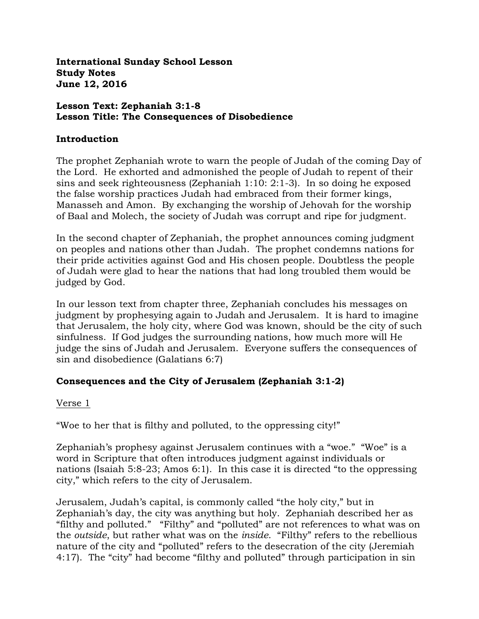**International Sunday School Lesson Study Notes June 12, 2016**

#### **Lesson Text: Zephaniah 3:1-8 Lesson Title: The Consequences of Disobedience**

### **Introduction**

The prophet Zephaniah wrote to warn the people of Judah of the coming Day of the Lord. He exhorted and admonished the people of Judah to repent of their sins and seek righteousness (Zephaniah 1:10: 2:1-3). In so doing he exposed the false worship practices Judah had embraced from their former kings, Manasseh and Amon. By exchanging the worship of Jehovah for the worship of Baal and Molech, the society of Judah was corrupt and ripe for judgment.

In the second chapter of Zephaniah, the prophet announces coming judgment on peoples and nations other than Judah. The prophet condemns nations for their pride activities against God and His chosen people. Doubtless the people of Judah were glad to hear the nations that had long troubled them would be judged by God.

In our lesson text from chapter three, Zephaniah concludes his messages on judgment by prophesying again to Judah and Jerusalem. It is hard to imagine that Jerusalem, the holy city, where God was known, should be the city of such sinfulness. If God judges the surrounding nations, how much more will He judge the sins of Judah and Jerusalem. Everyone suffers the consequences of sin and disobedience (Galatians 6:7)

## **Consequences and the City of Jerusalem (Zephaniah 3:1-2)**

### Verse 1

"Woe to her that is filthy and polluted, to the oppressing city!"

Zephaniah's prophesy against Jerusalem continues with a "woe." "Woe" is a word in Scripture that often introduces judgment against individuals or nations (Isaiah 5:8-23; Amos 6:1). In this case it is directed "to the oppressing city," which refers to the city of Jerusalem.

Jerusalem, Judah's capital, is commonly called "the holy city," but in Zephaniah's day, the city was anything but holy. Zephaniah described her as "filthy and polluted." "Filthy" and "polluted" are not references to what was on the *outside*, but rather what was on the *inside*. "Filthy" refers to the rebellious nature of the city and "polluted" refers to the desecration of the city (Jeremiah 4:17). The "city" had become "filthy and polluted" through participation in sin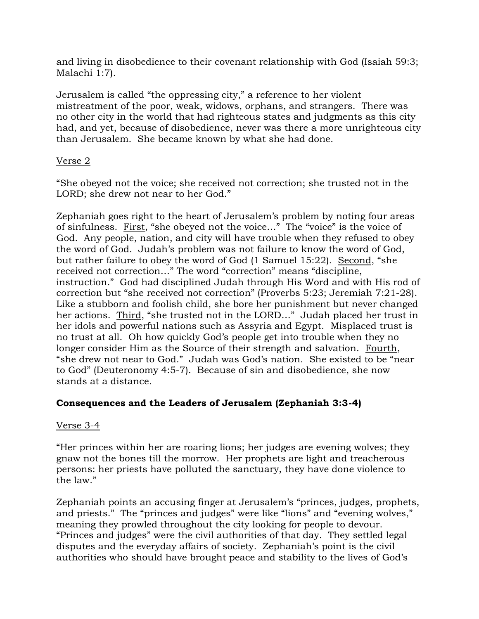and living in disobedience to their covenant relationship with God (Isaiah 59:3; Malachi 1:7).

Jerusalem is called "the oppressing city," a reference to her violent mistreatment of the poor, weak, widows, orphans, and strangers. There was no other city in the world that had righteous states and judgments as this city had, and yet, because of disobedience, never was there a more unrighteous city than Jerusalem. She became known by what she had done.

## Verse 2

"She obeyed not the voice; she received not correction; she trusted not in the LORD; she drew not near to her God."

Zephaniah goes right to the heart of Jerusalem's problem by noting four areas of sinfulness. First, "she obeyed not the voice…" The "voice" is the voice of God. Any people, nation, and city will have trouble when they refused to obey the word of God. Judah's problem was not failure to know the word of God, but rather failure to obey the word of God (1 Samuel 15:22). Second, "she received not correction…" The word "correction" means "discipline, instruction." God had disciplined Judah through His Word and with His rod of correction but "she received not correction" (Proverbs 5:23; Jeremiah 7:21-28). Like a stubborn and foolish child, she bore her punishment but never changed her actions. Third, "she trusted not in the LORD…" Judah placed her trust in her idols and powerful nations such as Assyria and Egypt. Misplaced trust is no trust at all. Oh how quickly God's people get into trouble when they no longer consider Him as the Source of their strength and salvation. Fourth, "she drew not near to God." Judah was God's nation. She existed to be "near to God" (Deuteronomy 4:5-7). Because of sin and disobedience, she now stands at a distance.

# **Consequences and the Leaders of Jerusalem (Zephaniah 3:3-4)**

# Verse 3-4

"Her princes within her are roaring lions; her judges are evening wolves; they gnaw not the bones till the morrow. Her prophets are light and treacherous persons: her priests have polluted the sanctuary, they have done violence to the law."

Zephaniah points an accusing finger at Jerusalem's "princes, judges, prophets, and priests." The "princes and judges" were like "lions" and "evening wolves," meaning they prowled throughout the city looking for people to devour. "Princes and judges" were the civil authorities of that day. They settled legal disputes and the everyday affairs of society. Zephaniah's point is the civil authorities who should have brought peace and stability to the lives of God's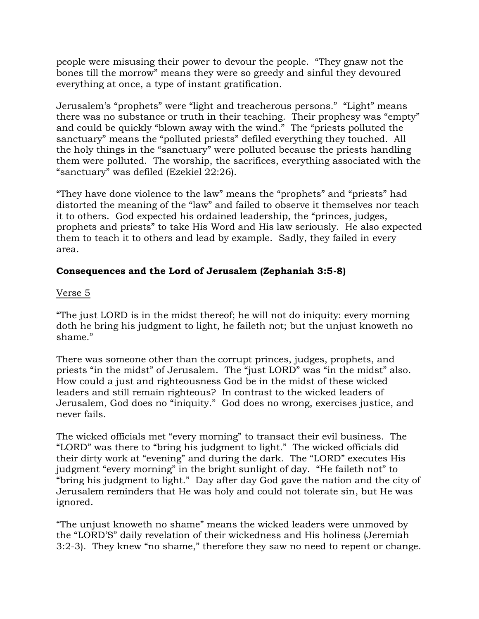people were misusing their power to devour the people. "They gnaw not the bones till the morrow" means they were so greedy and sinful they devoured everything at once, a type of instant gratification.

Jerusalem's "prophets" were "light and treacherous persons." "Light" means there was no substance or truth in their teaching. Their prophesy was "empty" and could be quickly "blown away with the wind." The "priests polluted the sanctuary" means the "polluted priests" defiled everything they touched. All the holy things in the "sanctuary" were polluted because the priests handling them were polluted. The worship, the sacrifices, everything associated with the "sanctuary" was defiled (Ezekiel 22:26).

"They have done violence to the law" means the "prophets" and "priests" had distorted the meaning of the "law" and failed to observe it themselves nor teach it to others. God expected his ordained leadership, the "princes, judges, prophets and priests" to take His Word and His law seriously. He also expected them to teach it to others and lead by example. Sadly, they failed in every area.

## **Consequences and the Lord of Jerusalem (Zephaniah 3:5-8)**

## Verse 5

"The just LORD is in the midst thereof; he will not do iniquity: every morning doth he bring his judgment to light, he faileth not; but the unjust knoweth no shame."

There was someone other than the corrupt princes, judges, prophets, and priests "in the midst" of Jerusalem. The "just LORD" was "in the midst" also. How could a just and righteousness God be in the midst of these wicked leaders and still remain righteous? In contrast to the wicked leaders of Jerusalem, God does no "iniquity." God does no wrong, exercises justice, and never fails.

The wicked officials met "every morning" to transact their evil business. The "LORD" was there to "bring his judgment to light." The wicked officials did their dirty work at "evening" and during the dark. The "LORD" executes His judgment "every morning" in the bright sunlight of day. "He faileth not" to "bring his judgment to light." Day after day God gave the nation and the city of Jerusalem reminders that He was holy and could not tolerate sin, but He was ignored.

"The unjust knoweth no shame" means the wicked leaders were unmoved by the "LORD'S" daily revelation of their wickedness and His holiness (Jeremiah 3:2-3). They knew "no shame," therefore they saw no need to repent or change.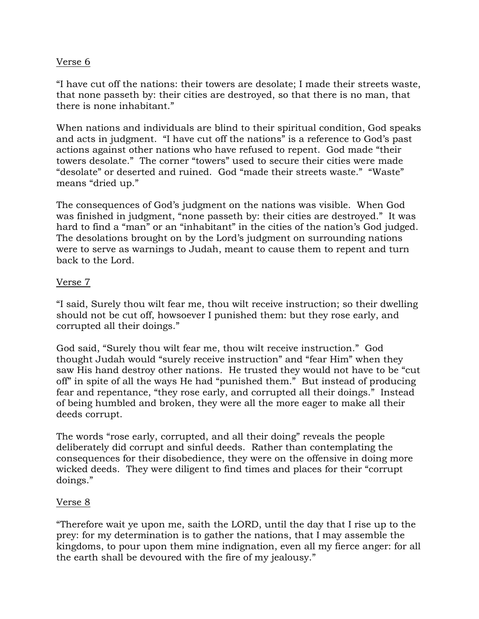## Verse 6

"I have cut off the nations: their towers are desolate; I made their streets waste, that none passeth by: their cities are destroyed, so that there is no man, that there is none inhabitant."

When nations and individuals are blind to their spiritual condition, God speaks and acts in judgment. "I have cut off the nations" is a reference to God's past actions against other nations who have refused to repent. God made "their towers desolate." The corner "towers" used to secure their cities were made "desolate" or deserted and ruined. God "made their streets waste." "Waste" means "dried up."

The consequences of God's judgment on the nations was visible. When God was finished in judgment, "none passeth by: their cities are destroyed." It was hard to find a "man" or an "inhabitant" in the cities of the nation's God judged. The desolations brought on by the Lord's judgment on surrounding nations were to serve as warnings to Judah, meant to cause them to repent and turn back to the Lord.

## Verse 7

"I said, Surely thou wilt fear me, thou wilt receive instruction; so their dwelling should not be cut off, howsoever I punished them: but they rose early, and corrupted all their doings."

God said, "Surely thou wilt fear me, thou wilt receive instruction." God thought Judah would "surely receive instruction" and "fear Him" when they saw His hand destroy other nations. He trusted they would not have to be "cut off" in spite of all the ways He had "punished them." But instead of producing fear and repentance, "they rose early, and corrupted all their doings." Instead of being humbled and broken, they were all the more eager to make all their deeds corrupt.

The words "rose early, corrupted, and all their doing" reveals the people deliberately did corrupt and sinful deeds. Rather than contemplating the consequences for their disobedience, they were on the offensive in doing more wicked deeds. They were diligent to find times and places for their "corrupt doings."

### Verse 8

"Therefore wait ye upon me, saith the LORD, until the day that I rise up to the prey: for my determination is to gather the nations, that I may assemble the kingdoms, to pour upon them mine indignation, even all my fierce anger: for all the earth shall be devoured with the fire of my jealousy."